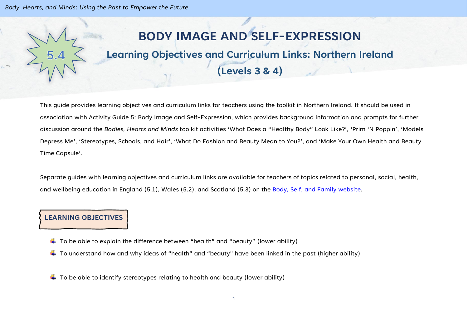# **BODY IMAGE AND SELF-EXPRESSION**

## **Learning Objectives and Curriculum Links: Northern Ireland**

## **(Levels 3 & 4)**

This guide provides learning objectives and curriculum links for teachers using the toolkit in Northern Ireland. It should be used in association with Activity Guide 5: Body Image and Self-Expression, which provides background information and prompts for further discussion around the *Bodies, Hearts and Minds* toolkit activities 'What Does a "Healthy Body" Look Like?', 'Prim 'N Poppin', 'Models Depress Me', 'Stereotypes, Schools, and Hair', 'What Do Fashion and Beauty Mean to You?', and 'Make Your Own Health and Beauty Time Capsule'.

Separate guides with learning objectives and curriculum links are available for teachers of topics related to personal, social, health, and wellbeing education in England (5.1), Wales (5.2), and Scotland (5.3) on the [Body, Self, and Family website.](https://bodyselffamily.org/)

### **LEARNING OBJECTIVES**

- $\ddotplus$  To be able to explain the difference between "health" and "beauty" (lower ability)
- $\ddotplus$  To understand how and why ideas of "health" and "beauty" have been linked in the past (higher ability)
- $\ddotplus$  To be able to identify stereotypes relating to health and beauty (lower ability)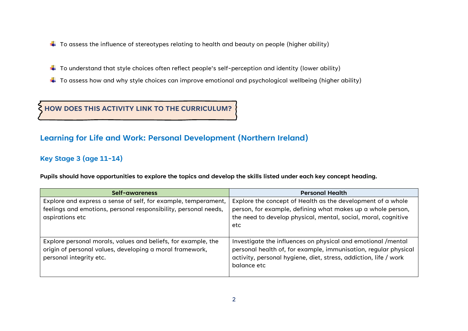- $\downarrow$  To assess the influence of stereotypes relating to health and beauty on people (higher ability)
- $\ddotplus$  To understand that style choices often reflect people's self-perception and identity (lower ability)
- $\ddotplus$  To assess how and why style choices can improve emotional and psychological wellbeing (higher ability)

**HOW DOES THIS ACTIVITY LINK TO THE CURRICULUM?**

#### **Learning for Life and Work: Personal Development (Northern Ireland)**

#### **Key Stage 3 (age 11-14)**

**Pupils should have opportunities to explore the topics and develop the skills listed under each key concept heading.**

| Self-awareness                                                                                                                                       | <b>Personal Health</b>                                                                                                                                                                                             |
|------------------------------------------------------------------------------------------------------------------------------------------------------|--------------------------------------------------------------------------------------------------------------------------------------------------------------------------------------------------------------------|
| Explore and express a sense of self, for example, temperament,<br>feelings and emotions, personal responsibility, personal needs,<br>aspirations etc | Explore the concept of Health as the development of a whole<br>person, for example, defining what makes up a whole person,<br>the need to develop physical, mental, social, moral, cognitive<br>etc                |
| Explore personal morals, values and beliefs, for example, the<br>origin of personal values, developing a moral framework,<br>personal integrity etc. | Investigate the influences on physical and emotional /mental<br>personal health of, for example, immunisation, regular physical<br>activity, personal hygiene, diet, stress, addiction, life / work<br>balance etc |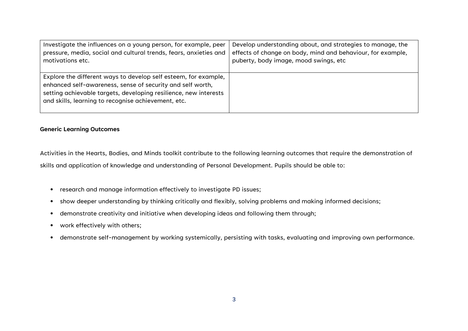| Investigate the influences on a young person, for example, peer                                                                                                                                                                                          | Develop understanding about, and strategies to manage, the  |
|----------------------------------------------------------------------------------------------------------------------------------------------------------------------------------------------------------------------------------------------------------|-------------------------------------------------------------|
| pressure, media, social and cultural trends, fears, anxieties and                                                                                                                                                                                        | effects of change on body, mind and behaviour, for example, |
| motivations etc.                                                                                                                                                                                                                                         | puberty, body image, mood swings, etc                       |
| Explore the different ways to develop self esteem, for example,<br>enhanced self-awareness, sense of security and self worth,<br>setting achievable targets, developing resilience, new interests<br>and skills, learning to recognise achievement, etc. |                                                             |

#### **Generic Learning Outcomes**

Activities in the Hearts, Bodies, and Minds toolkit contribute to the following learning outcomes that require the demonstration of skills and application of knowledge and understanding of Personal Development. Pupils should be able to:

- research and manage information effectively to investigate PD issues;
- show deeper understanding by thinking critically and flexibly, solving problems and making informed decisions;
- demonstrate creativity and initiative when developing ideas and following them through;
- work effectively with others;
- demonstrate self-management by working systemically, persisting with tasks, evaluating and improving own performance.